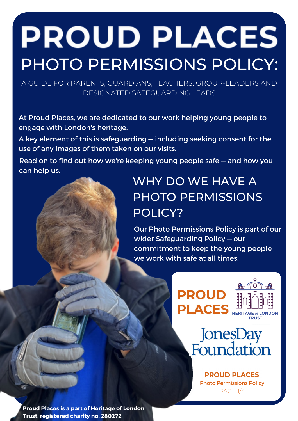# **PROUD PLACES** PHOTO PERMISSIONS POLICY:

A GUIDE FOR PARENTS, GUARDIANS, TEACHERS, GROUP-LEADERS AND DESIGNATED SAFEGUARDING LEADS

At Proud Places, we are dedicated to our work helping young people to engage with London's heritage.

A key element of this is safeguarding — including seeking consent for the use of any images of them taken on our visits.

Read on to find out how we're keeping young people safe — and how you can help us.

# WHY DO WE HAVE A PHOTO PERMISSIONS POLICY?

Our Photo Permissions Policy is part of our wider Safeguarding Policy — our commitment to keep the young people we work with safe at all times.





**PROUD PLACES** Photo Permissions Policy PAGE 1/4

**Proud Places is a part of Heritage of London Trust, registered charity no. 280272**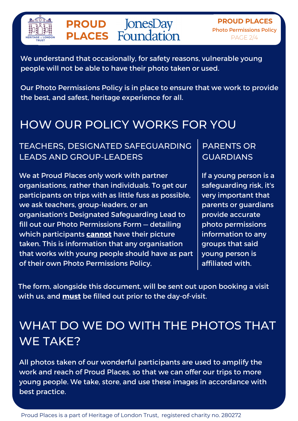

**PROUD PLACES** Photo Permissions Policy PAGE 2/4

We understand that occasionally, for safety reasons, vulnerable young people will not be able to have their photo taken or used.

Our Photo Permissions Policy is in place to ensure that we work to provide the best, and safest, heritage experience for all.

## HOW OUR POLICY WORKS FOR YOU

#### TEACHERS, DESIGNATED SAFEGUARDING LEADS AND GROUP-LEADERS

We at Proud Places only work with partner organisations, rather than individuals. To get our participants on trips with as little fuss as possible, we ask teachers, group-leaders, or an organisation's Designated Safeguarding Lead to fill out our Photo Permissions Form — detailing which participants **cannot** have their picture taken. This is information that any organisation that works with young people should have as part of their own Photo Permissions Policy.

#### PARENTS OR GUARDIANS

If a young person is a safeguarding risk, it's very important that parents or guardians provide accurate photo permissions information to any groups that said young person is affiliated with.

The form, alongside this document, will be sent out upon booking a visit with us, and **must** be filled out prior to the day-of-visit.

# WHAT DO WE DO WITH THE PHOTOS THAT WE TAKE?

All photos taken of our wonderful participants are used to amplify the work and reach of Proud Places, so that we can offer our trips to more young people. We take, store, and use these images in accordance with best practice.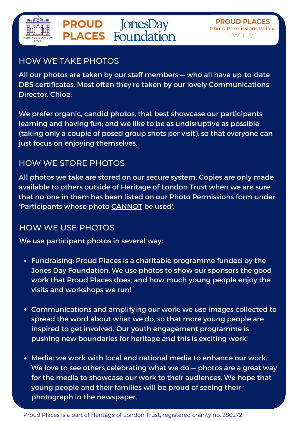

#### HOW WE TAKE PHOTOS

All our photos are taken by our staff members — who all have up-to-date DBS certificates. Most often they're taken by our lovely Communications Director, Chloe.

We prefer organic, candid photos, that best showcase our participants learning and having fun; and we like to be as undisruptive as possible (taking only a couple of posed group shots per visit), so that everyone can just focus on enjoying themselves.

#### HOW WE STORE PHOTOS

All photos we take are stored on our secure system. Copies are only made available to others outside of Heritage of London Trust when we are sure that no-one in them has been listed on our Photo Permissions form under 'Participants whose photo CANNOT be used'.

#### HOW WE USE PHOTOS

We use participant photos in several way:

- Fundraising: Proud Places is a charitable programme funded by the Jones Day Foundation. We use photos to show our sponsors the good work that Proud Places does; and how much young people enjoy the visits and workshops we run!
- Communications and amplifying our work: we use images collected to spread the word about what we do, so that more young people are inspired to get involved. Our youth engagement programme is pushing new boundaries for heritage and this is exciting work!
- Media: we work with local and national media to enhance our work. We love to see others celebrating what we do - photos are a great way for the media to showcase our work to their audiences. We hope that young people and their families will be proud of seeing their photograph in the newspaper.